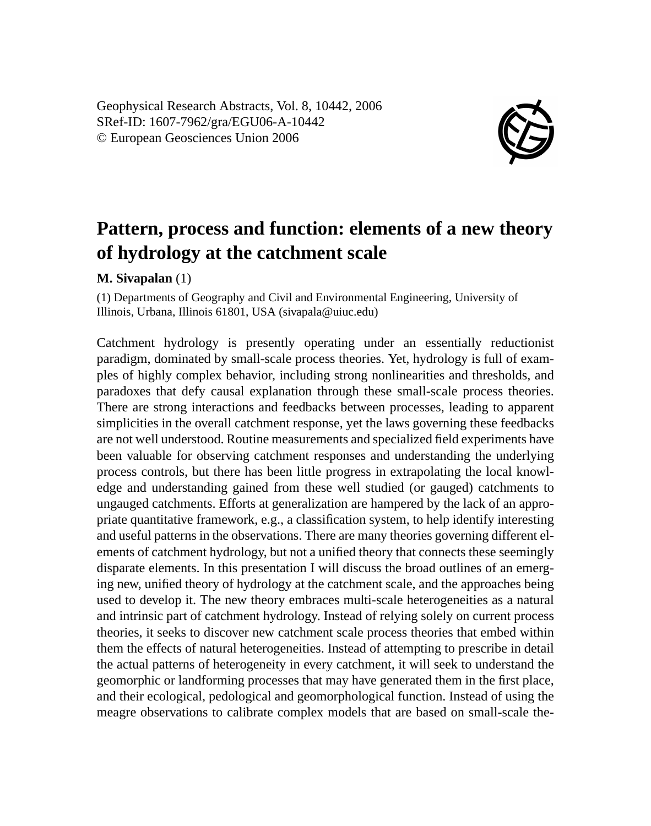Geophysical Research Abstracts, Vol. 8, 10442, 2006 SRef-ID: 1607-7962/gra/EGU06-A-10442 © European Geosciences Union 2006



## **Pattern, process and function: elements of a new theory of hydrology at the catchment scale**

## **M. Sivapalan** (1)

(1) Departments of Geography and Civil and Environmental Engineering, University of Illinois, Urbana, Illinois 61801, USA (sivapala@uiuc.edu)

Catchment hydrology is presently operating under an essentially reductionist paradigm, dominated by small-scale process theories. Yet, hydrology is full of examples of highly complex behavior, including strong nonlinearities and thresholds, and paradoxes that defy causal explanation through these small-scale process theories. There are strong interactions and feedbacks between processes, leading to apparent simplicities in the overall catchment response, yet the laws governing these feedbacks are not well understood. Routine measurements and specialized field experiments have been valuable for observing catchment responses and understanding the underlying process controls, but there has been little progress in extrapolating the local knowledge and understanding gained from these well studied (or gauged) catchments to ungauged catchments. Efforts at generalization are hampered by the lack of an appropriate quantitative framework, e.g., a classification system, to help identify interesting and useful patterns in the observations. There are many theories governing different elements of catchment hydrology, but not a unified theory that connects these seemingly disparate elements. In this presentation I will discuss the broad outlines of an emerging new, unified theory of hydrology at the catchment scale, and the approaches being used to develop it. The new theory embraces multi-scale heterogeneities as a natural and intrinsic part of catchment hydrology. Instead of relying solely on current process theories, it seeks to discover new catchment scale process theories that embed within them the effects of natural heterogeneities. Instead of attempting to prescribe in detail the actual patterns of heterogeneity in every catchment, it will seek to understand the geomorphic or landforming processes that may have generated them in the first place, and their ecological, pedological and geomorphological function. Instead of using the meagre observations to calibrate complex models that are based on small-scale the-